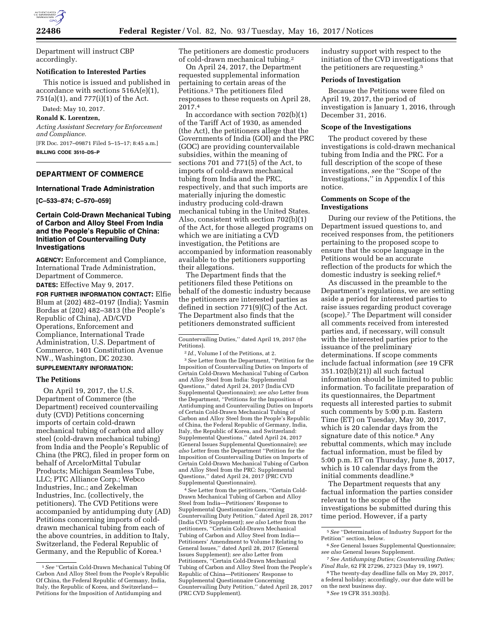

Department will instruct CBP accordingly.

#### **Notification to Interested Parties**

This notice is issued and published in accordance with sections 516A(e)(1), 751(a)(1), and 777(i)(1) of the Act.

Dated: May 10, 2017.

# **Ronald K. Lorentzen,**

*Acting Assistant Secretary for Enforcement and Compliance.*  [FR Doc. 2017–09871 Filed 5–15–17; 8:45 a.m.] **BILLING CODE 3510–DS–P** 

**DEPARTMENT OF COMMERCE** 

#### **International Trade Administration**

**[C–533–874; C–570–059]** 

## **Certain Cold-Drawn Mechanical Tubing of Carbon and Alloy Steel From India and the People's Republic of China: Initiation of Countervailing Duty Investigations**

**AGENCY:** Enforcement and Compliance, International Trade Administration, Department of Commerce.

**DATES:** Effective May 9, 2017.

**FOR FURTHER INFORMATION CONTACT:** Elfie Blum at (202) 482–0197 (India); Yasmin Bordas at (202) 482–3813 (the People's Republic of China), AD/CVD Operations, Enforcement and Compliance, International Trade Administration, U.S. Department of Commerce, 1401 Constitution Avenue NW., Washington, DC 20230.

# **SUPPLEMENTARY INFORMATION:**

#### **The Petitions**

On April 19, 2017, the U.S. Department of Commerce (the Department) received countervailing duty (CVD) Petitions concerning imports of certain cold-drawn mechanical tubing of carbon and alloy steel (cold-drawn mechanical tubing) from India and the People's Republic of China (the PRC), filed in proper form on behalf of ArcelorMittal Tubular Products; Michigan Seamless Tube, LLC; PTC Alliance Corp.; Webco Industries, Inc.; and Zekelman Industries, Inc. (collectively, the petitioners). The CVD Petitions were accompanied by antidumping duty (AD) Petitions concerning imports of colddrawn mechanical tubing from each of the above countries, in addition to Italy, Switzerland, the Federal Republic of Germany, and the Republic of Korea.1

The petitioners are domestic producers of cold-drawn mechanical tubing.2

On April 24, 2017, the Department requested supplemental information pertaining to certain areas of the Petitions.3 The petitioners filed responses to these requests on April 28, 2017.4

In accordance with section 702(b)(1) of the Tariff Act of 1930, as amended (the Act), the petitioners allege that the Governments of India (GOI) and the PRC (GOC) are providing countervailable subsidies, within the meaning of sections 701 and 771(5) of the Act, to imports of cold-drawn mechanical tubing from India and the PRC, respectively, and that such imports are materially injuring the domestic industry producing cold-drawn mechanical tubing in the United States. Also, consistent with section 702(b)(1) of the Act, for those alleged programs on which we are initiating a CVD investigation, the Petitions are accompanied by information reasonably available to the petitioners supporting their allegations.

The Department finds that the petitioners filed these Petitions on behalf of the domestic industry because the petitioners are interested parties as defined in section 771(9)(C) of the Act. The Department also finds that the petitioners demonstrated sufficient

2 *Id.,* Volume I of the Petitions, at 2.

3*See* Letter from the Department, ''Petition for the Imposition of Countervailing Duties on Imports of Certain Cold-Drawn Mechanical Tubing of Carbon and Alloy Steel from India: Supplemental Questions,'' dated April 24, 2017 (India CVD Supplemental Questionnaire); *see also* Letter from the Department, ''Petitions for the Imposition of Antidumping and Countervailing Duties on Imports of Certain Cold-Drawn Mechanical Tubing of Carbon and Alloy Steel from the People's Republic of China, the Federal Republic of Germany, India, Italy, the Republic of Korea, and Switzerland: Supplemental Questions,'' dated April 24, 2017 (General Issues Supplemental Questionnaire); *see also* Letter from the Department ''Petition for the Imposition of Countervailing Duties on Imports of Certain Cold-Drawn Mechanical Tubing of Carbon and Alloy Steel from the PRC: Supplemental Questions,'' dated April 24, 2017 (PRC CVD Supplemental Questionnaire).

4*See* Letter from the petitioners, ''Certain Cold-Drawn Mechanical Tubing of Carbon and Alloy Steel from India—Petitioners' Response to Supplemental Questionnaire Concerning Countervailing Duty Petition,'' dated April 28, 2017 (India CVD Supplement); *see also* Letter from the petitioners, ''Certain Cold-Drawn Mechanical Tubing of Carbon and Alloy Steel from India— Petitioners' Amendment to Volume I Relating to General Issues,'' dated April 28, 2017 (General Issues Supplement); *see also* Letter from Petitioners, ''Certain Cold-Drawn Mechanical Tubing of Carbon and Alloy Steel from the People's Republic of China—Petitioners' Response to Supplemental Questionnaire Concerning Countervailing Duty Petition,'' dated April 28, 2017 (PRC CVD Supplement).

industry support with respect to the initiation of the CVD investigations that the petitioners are requesting.5

#### **Periods of Investigation**

Because the Petitions were filed on April 19, 2017, the period of investigation is January 1, 2016, through December 31, 2016.

#### **Scope of the Investigations**

The product covered by these investigations is cold-drawn mechanical tubing from India and the PRC. For a full description of the scope of these investigations, *see* the ''Scope of the Investigations,'' in Appendix I of this notice.

## **Comments on Scope of the Investigations**

During our review of the Petitions, the Department issued questions to, and received responses from, the petitioners pertaining to the proposed scope to ensure that the scope language in the Petitions would be an accurate reflection of the products for which the domestic industry is seeking relief.6

As discussed in the preamble to the Department's regulations, we are setting aside a period for interested parties to raise issues regarding product coverage (scope).7 The Department will consider all comments received from interested parties and, if necessary, will consult with the interested parties prior to the issuance of the preliminary determinations. If scope comments include factual information (*see* 19 CFR 351.102(b)(21)) all such factual information should be limited to public information. To facilitate preparation of its questionnaires, the Department requests all interested parties to submit such comments by 5:00 p.m. Eastern Time (ET) on Tuesday, May 30, 2017, which is 20 calendar days from the signature date of this notice.<sup>8</sup> Any rebuttal comments, which may include factual information, must be filed by 5:00 p.m. ET on Thursday, June 8, 2017, which is 10 calendar days from the initial comments deadline.9

The Department requests that any factual information the parties consider relevant to the scope of the investigations be submitted during this time period. However, if a party

<sup>1</sup>*See* ''Certain Cold-Drawn Mechanical Tubing Of Carbon And Alloy Steel from the People's Republic Of China, the Federal Republic of Germany, India, Italy, the Republic of Korea, and Switzerland— Petitions for the Imposition of Antidumping and

Countervailing Duties,'' dated April 19, 2017 (the Petitions).

<sup>5</sup>*See* ''Determination of Industry Support for the Petition'' section, below.

<sup>6</sup>*See* General Issues Supplemental Questionnaire; *see also* General Issues Supplement.

<sup>7</sup>*See Antidumping Duties; Countervailing Duties; Final Rule,* 62 FR 27296, 27323 (May 19, 1997).

<sup>8</sup>The twenty-day deadline falls on May 29, 2017, a federal holiday; accordingly, our due date will be on the next business day.

<sup>9</sup>*See* 19 CFR 351.303(b).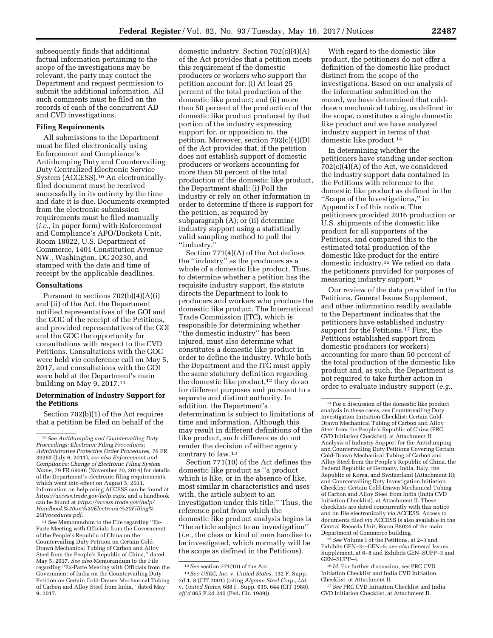subsequently finds that additional factual information pertaining to the scope of the investigations may be relevant, the party may contact the Department and request permission to submit the additional information. All such comments must be filed on the records of each of the concurrent AD and CVD investigations.

## **Filing Requirements**

All submissions to the Department must be filed electronically using Enforcement and Compliance's Antidumping Duty and Countervailing Duty Centralized Electronic Service System (ACCESS).10 An electronicallyfiled document must be received successfully in its entirety by the time and date it is due. Documents exempted from the electronic submission requirements must be filed manually (*i.e.,* in paper form) with Enforcement and Compliance's APO/Dockets Unit, Room 18022, U.S. Department of Commerce, 1401 Constitution Avenue NW., Washington, DC 20230, and stamped with the date and time of receipt by the applicable deadlines.

## **Consultations**

Pursuant to sections  $702(b)(4)(A)(i)$ and (ii) of the Act, the Department notified representatives of the GOI and the GOC of the receipt of the Petitions, and provided representatives of the GOI and the GOC the opportunity for consultations with respect to the CVD Petitions. Consultations with the GOC were held *via* conference call on May 5, 2017, and consultations with the GOI were held at the Department's main building on May 9, 2017.11

### **Determination of Industry Support for the Petitions**

Section 702(b)(1) of the Act requires that a petition be filed on behalf of the

11*See* Memorandum to the File regarding ''Ex-Parte Meeting with Officials from the Government of the People's Republic of China on the Countervailing Duty Petition on Certain Cold-Drawn Mechanical Tubing of Carbon and Alloy Steel from the People's Republic of China,'' dated May 5, 2017. *See also* Memorandum to the File regarding ''Ex-Parte Meeting with Officials from the Government of India on the Countervailing Duty Petition on Certain Cold-Drawn Mechanical Tubing of Carbon and Alloy Steel from India,'' dated May 9, 2017.

domestic industry. Section 702(c)(4)(A) of the Act provides that a petition meets this requirement if the domestic producers or workers who support the petition account for: (i) At least 25 percent of the total production of the domestic like product; and (ii) more than 50 percent of the production of the domestic like product produced by that portion of the industry expressing support for, or opposition to, the petition. Moreover, section 702(c)(4)(D) of the Act provides that, if the petition does not establish support of domestic producers or workers accounting for more than 50 percent of the total production of the domestic like product, the Department shall: (i) Poll the industry or rely on other information in order to determine if there is support for the petition, as required by subparagraph (A); or (ii) determine industry support using a statistically valid sampling method to poll the ''industry.''

Section 771(4)(A) of the Act defines the ''industry'' as the producers as a whole of a domestic like product. Thus, to determine whether a petition has the requisite industry support, the statute directs the Department to look to producers and workers who produce the domestic like product. The International Trade Commission (ITC), which is responsible for determining whether ''the domestic industry'' has been injured, must also determine what constitutes a domestic like product in order to define the industry. While both the Department and the ITC must apply the same statutory definition regarding the domestic like product,<sup>12</sup> they do so for different purposes and pursuant to a separate and distinct authority. In addition, the Department's determination is subject to limitations of time and information. Although this may result in different definitions of the like product, such differences do not render the decision of either agency contrary to law.13

Section 771(10) of the Act defines the domestic like product as ''a product which is like, or in the absence of like, most similar in characteristics and uses with, the article subject to an investigation under this title.'' Thus, the reference point from which the domestic like product analysis begins is ''the article subject to an investigation'' (*i.e.,* the class or kind of merchandise to be investigated, which normally will be the scope as defined in the Petitions).

With regard to the domestic like product, the petitioners do not offer a definition of the domestic like product distinct from the scope of the investigations. Based on our analysis of the information submitted on the record, we have determined that colddrawn mechanical tubing, as defined in the scope, constitutes a single domestic like product and we have analyzed industry support in terms of that domestic like product.14

In determining whether the petitioners have standing under section 702(c)(4)(A) of the Act, we considered the industry support data contained in the Petitions with reference to the domestic like product as defined in the ''Scope of the Investigations,'' in Appendix I of this notice. The petitioners provided 2016 production or U.S. shipments of the domestic like product for all supporters of the Petitions, and compared this to the estimated total production of the domestic like product for the entire domestic industry.15 We relied on data the petitioners provided for purposes of measuring industry support.16

Our review of the data provided in the Petitions, General Issues Supplement, and other information readily available to the Department indicates that the petitioners have established industry support for the Petitions.17 First, the Petitions established support from domestic producers (or workers) accounting for more than 50 percent of the total production of the domestic like product and, as such, the Department is not required to take further action in order to evaluate industry support (*e.g.,* 

15*See* Volume I of the Petitions, at 2–3 and Exhibits GEN–3—GEN–5; *see also* General Issues Supplement, at 6–8 and Exhibits GEN–SUPP–3 and GEN–SUPP–4.

16 *Id.* For further discussion, *see* PRC CVD Initiation Checklist and India CVD Initiation Checklist, at Attachment II.

17*See* PRC CVD Initiation Checklist and India CVD Initiation Checklist, at Attachment II.

<sup>10</sup>*See Antidumping and Countervailing Duty Proceedings: Electronic Filing Procedures; Administrative Protective Order Procedures,* 76 FR 39263 (July 6, 2011), *see also Enforcement and Compliance: Change of Electronic Filing System Name,* 79 FR 69046 (November 20, 2014) for details of the Department's electronic filing requirements, which went into effect on August 5, 2011. Information on help using ACCESS can be found at *[https://access.trade.gov/help.aspx,](https://access.trade.gov/help.aspx)* and a handbook can be found at *[https://access.trade.gov/help/](https://access.trade.gov/help/Handbook%20on%20Electronic%20Filling%20Procedures.pdf)  [Handbook%20on%20Electronic%20Filling%](https://access.trade.gov/help/Handbook%20on%20Electronic%20Filling%20Procedures.pdf) [20Procedures.pdf.](https://access.trade.gov/help/Handbook%20on%20Electronic%20Filling%20Procedures.pdf)* 

<sup>12</sup>*See* section 771(10) of the Act.

<sup>13</sup>*See USEC, Inc.* v. *United States,* 132 F. Supp. 2d 1, 8 (CIT 2001) (citing *Algoma Steel Corp., Ltd.*  v. *United States,* 688 F. Supp. 639, 644 (CIT 1988), *aff'd* 865 F.2d 240 (Fed. Cir. 1989)).

<sup>14</sup>For a discussion of the domestic like product analysis in these cases, *see* Countervailing Duty Investigation Initiation Checklist: Certain Cold-Drawn Mechanical Tubing of Carbon and Alloy Steel from the People's Republic of China (PRC CVD Initiation Checklist), at Attachment II, Analysis of Industry Support for the Antidumping and Countervailing Duty Petitions Covering Certain Cold-Drawn Mechanical Tubing of Carbon and Alloy Steel from the People's Republic of China, the Federal Republic of Germany, India, Italy, the Republic of Korea, and Switzerland (Attachment II); and Countervailing Duty Investigation Initiation Checklist: Certain Cold-Drawn Mechanical Tubing of Carbon and Alloy Steel from India (India CVD Initiation Checklist), at Attachment II. These checklists are dated concurrently with this notice and on file electronically *via* ACCESS. Access to documents filed *via* ACCESS is also available in the Central Records Unit, Room B8024 of the main Department of Commerce building.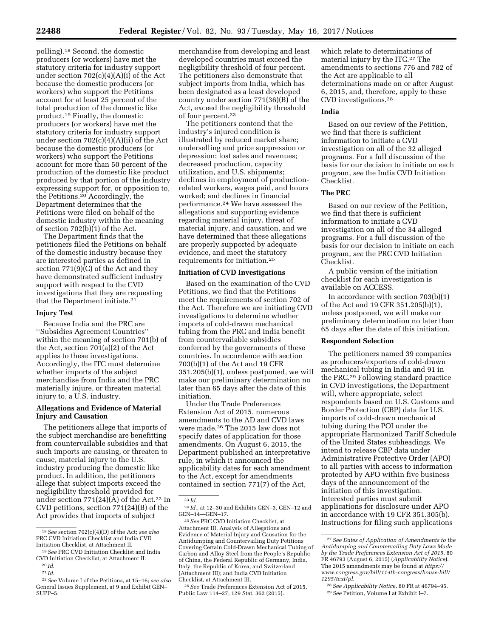polling).18 Second, the domestic producers (or workers) have met the statutory criteria for industry support under section 702(c)(4)(A)(i) of the Act because the domestic producers (or workers) who support the Petitions account for at least 25 percent of the total production of the domestic like product.19 Finally, the domestic producers (or workers) have met the statutory criteria for industry support under section 702(c)(4)(A)(ii) of the Act because the domestic producers (or workers) who support the Petitions account for more than 50 percent of the production of the domestic like product produced by that portion of the industry expressing support for, or opposition to, the Petitions.20 Accordingly, the Department determines that the Petitions were filed on behalf of the domestic industry within the meaning of section 702(b)(1) of the Act.

The Department finds that the petitioners filed the Petitions on behalf of the domestic industry because they are interested parties as defined in section 771(9)(C) of the Act and they have demonstrated sufficient industry support with respect to the CVD investigations that they are requesting that the Department initiate.<sup>21</sup>

### **Injury Test**

Because India and the PRC are ''Subsidies Agreement Countries'' within the meaning of section 701(b) of the Act, section 701(a)(2) of the Act applies to these investigations. Accordingly, the ITC must determine whether imports of the subject merchandise from India and the PRC materially injure, or threaten material injury to, a U.S. industry.

## **Allegations and Evidence of Material Injury and Causation**

The petitioners allege that imports of the subject merchandise are benefitting from countervailable subsidies and that such imports are causing, or threaten to cause, material injury to the U.S. industry producing the domestic like product. In addition, the petitioners allege that subject imports exceed the negligibility threshold provided for under section  $771(24)(A)$  of the Act.<sup>22</sup> In CVD petitions, section 771(24)(B) of the Act provides that imports of subject

merchandise from developing and least developed countries must exceed the negligibility threshold of four percent. The petitioners also demonstrate that subject imports from India, which has been designated as a least developed country under section 771(36)(B) of the Act, exceed the negligibility threshold of four percent.23

The petitioners contend that the industry's injured condition is illustrated by reduced market share; underselling and price suppression or depression; lost sales and revenues; decreased production, capacity utilization, and U.S. shipments; declines in employment of productionrelated workers, wages paid, and hours worked; and declines in financial performance.24 We have assessed the allegations and supporting evidence regarding material injury, threat of material injury, and causation, and we have determined that these allegations are properly supported by adequate evidence, and meet the statutory requirements for initiation.25

## **Initiation of CVD Investigations**

Based on the examination of the CVD Petitions, we find that the Petitions meet the requirements of section 702 of the Act. Therefore we are initiating CVD investigations to determine whether imports of cold-drawn mechanical tubing from the PRC and India benefit from countervailable subsidies conferred by the governments of these countries. In accordance with section 703(b)(1) of the Act and 19 CFR 351.205(b)(1), unless postponed, we will make our preliminary determination no later than 65 days after the date of this initiation.

Under the Trade Preferences Extension Act of 2015, numerous amendments to the AD and CVD laws were made.26 The 2015 law does not specify dates of application for those amendments. On August 6, 2015, the Department published an interpretative rule, in which it announced the applicability dates for each amendment to the Act, except for amendments contained in section 771(7) of the Act,

26*See* Trade Preferences Extension Act of 2015, Public Law 114–27, 129 Stat. 362 (2015).

which relate to determinations of material injury by the ITC.27 The amendments to sections 776 and 782 of the Act are applicable to all determinations made on or after August 6, 2015, and, therefore, apply to these CVD investigations.28

## **India**

Based on our review of the Petition, we find that there is sufficient information to initiate a CVD investigation on all of the 32 alleged programs. For a full discussion of the basis for our decision to initiate on each program, *see* the India CVD Initiation Checklist.

## **The PRC**

Based on our review of the Petition, we find that there is sufficient information to initiate a CVD investigation on all of the 34 alleged programs. For a full discussion of the basis for our decision to initiate on each program, *see* the PRC CVD Initiation Checklist.

A public version of the initiation checklist for each investigation is available on ACCESS.

In accordance with section 703(b)(1) of the Act and 19 CFR 351.205(b)(1), unless postponed, we will make our preliminary determination no later than 65 days after the date of this initiation.

### **Respondent Selection**

The petitioners named 39 companies as producers/exporters of cold-drawn mechanical tubing in India and 91 in the PRC.29 Following standard practice in CVD investigations, the Department will, where appropriate, select respondents based on U.S. Customs and Border Protection (CBP) data for U.S. imports of cold-drawn mechanical tubing during the POI under the appropriate Harmonized Tariff Schedule of the United States subheadings. We intend to release CBP data under Administrative Protective Order (APO) to all parties with access to information protected by APO within five business days of the announcement of the initiation of this investigation. Interested parties must submit applications for disclosure under APO in accordance with 19 CFR 351.305(b). Instructions for filing such applications

<sup>18</sup>*See* section 702(c)(4)(D) of the Act; *see also*  PRC CVD Initiation Checklist and India CVD Initiation Checklist, at Attachment II.

<sup>19</sup>*See* PRC CVD Initiation Checklist and India CVD Initiation Checklist, at Attachment II. 20 *Id.* 

<sup>21</sup> *Id.* 

<sup>22</sup>*See* Volume I of the Petitions, at 15–16; *see also*  General Issues Supplement, at 9 and Exhibit GEN– SUPP–5.

<sup>23</sup> *Id.* 

<sup>24</sup> *Id.,* at 12–30 and Exhibits GEN–3, GEN–12 and GEN–14—GEN–17.

<sup>25</sup>*See* PRC CVD Initiation Checklist, at Attachment III, Analysis of Allegations and Evidence of Material Injury and Causation for the Antidumping and Countervailing Duty Petitions Covering Certain Cold-Drawn Mechanical Tubing of Carbon and Alloy Steel from the People's Republic of China, the Federal Republic of Germany, India, Italy, the Republic of Korea, and Switzerland (Attachment III); and India CVD Initiation Checklist, at Attachment III.

<sup>27</sup>*See Dates of Application of Amendments to the Antidumping and Countervailing Duty Laws Made by the Trade Preferences Extension Act of 2015,* 80 FR 46793 (August 6, 2015) (*Applicability Notice*). The 2015 amendments may be found at *[https://](https://www.congress.gov/bill/114th-congress/house-bill/1295/text/pl) [www.congress.gov/bill/114th-congress/house-bill/](https://www.congress.gov/bill/114th-congress/house-bill/1295/text/pl)  [1295/text/pl.](https://www.congress.gov/bill/114th-congress/house-bill/1295/text/pl)* 

<sup>28</sup>*See Applicability Notice,* 80 FR at 46794–95. 29*See* Petition, Volume I at Exhibit I–7.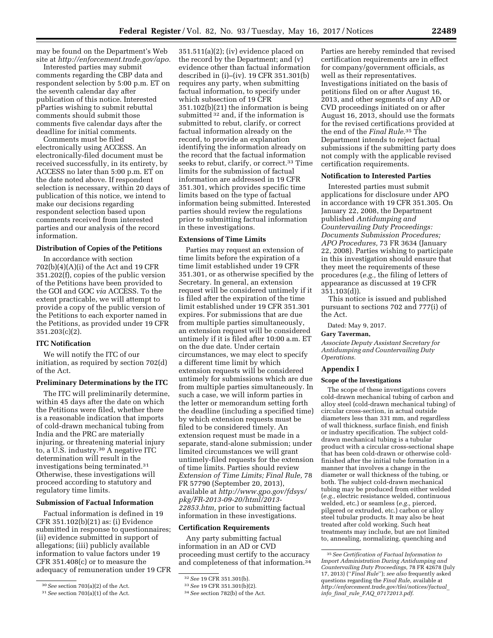may be found on the Department's Web site at *[http://enforcement.trade.gov/apo.](http://enforcement.trade.gov/apo)* 

Interested parties may submit comments regarding the CBP data and respondent selection by 5:00 p.m. ET on the seventh calendar day after publication of this notice. Interested pParties wishing to submit rebuttal comments should submit those comments five calendar days after the deadline for initial comments.

Comments must be filed electronically using ACCESS. An electronically-filed document must be received successfully, in its entirety, by ACCESS no later than 5:00 p.m. ET on the date noted above. If respondent selection is necessary, within 20 days of publication of this notice, we intend to make our decisions regarding respondent selection based upon comments received from interested parties and our analysis of the record information.

### **Distribution of Copies of the Petitions**

In accordance with section 702(b)(4)(A)(i) of the Act and 19 CFR 351.202(f), copies of the public version of the Petitions have been provided to the GOI and GOC *via* ACCESS. To the extent practicable, we will attempt to provide a copy of the public version of the Petitions to each exporter named in the Petitions, as provided under 19 CFR 351.203(c)(2).

## **ITC Notification**

We will notify the ITC of our initiation, as required by section 702(d) of the Act.

### **Preliminary Determinations by the ITC**

The ITC will preliminarily determine, within 45 days after the date on which the Petitions were filed, whether there is a reasonable indication that imports of cold-drawn mechanical tubing from India and the PRC are materially injuring, or threatening material injury to, a U.S. industry.30 A negative ITC determination will result in the investigations being terminated.31 Otherwise, these investigations will proceed according to statutory and regulatory time limits.

#### **Submission of Factual Information**

Factual information is defined in 19 CFR 351.102(b)(21) as: (i) Evidence submitted in response to questionnaires; (ii) evidence submitted in support of allegations; (iii) publicly available information to value factors under 19 CFR 351.408(c) or to measure the adequacy of remuneration under 19 CFR

 $351.511(a)(2)$ ; (iv) evidence placed on the record by the Department; and (v) evidence other than factual information described in (i)–(iv). 19 CFR 351.301(b) requires any party, when submitting factual information, to specify under which subsection of 19 CFR 351.102(b)(21) the information is being submitted 32 and, if the information is submitted to rebut, clarify, or correct factual information already on the record, to provide an explanation identifying the information already on the record that the factual information seeks to rebut, clarify, or correct.<sup>33</sup> Time limits for the submission of factual information are addressed in 19 CFR 351.301, which provides specific time limits based on the type of factual information being submitted. Interested parties should review the regulations prior to submitting factual information in these investigations.

#### **Extensions of Time Limits**

Parties may request an extension of time limits before the expiration of a time limit established under 19 CFR 351.301, or as otherwise specified by the Secretary. In general, an extension request will be considered untimely if it is filed after the expiration of the time limit established under 19 CFR 351.301 expires. For submissions that are due from multiple parties simultaneously, an extension request will be considered untimely if it is filed after 10:00 a.m. ET on the due date. Under certain circumstances, we may elect to specify a different time limit by which extension requests will be considered untimely for submissions which are due from multiple parties simultaneously. In such a case, we will inform parties in the letter or memorandum setting forth the deadline (including a specified time) by which extension requests must be filed to be considered timely. An extension request must be made in a separate, stand-alone submission; under limited circumstances we will grant untimely-filed requests for the extension of time limits. Parties should review *Extension of Time Limits; Final Rule,* 78 FR 57790 (September 20, 2013), available at *[http://www.gpo.gov/fdsys/](http://www.gpo.gov/fdsys/pkg/FR-2013-09-20/html/2013-22853.htm)  [pkg/FR-2013-09-20/html/2013-](http://www.gpo.gov/fdsys/pkg/FR-2013-09-20/html/2013-22853.htm) [22853.htm,](http://www.gpo.gov/fdsys/pkg/FR-2013-09-20/html/2013-22853.htm)* prior to submitting factual information in these investigations.

## **Certification Requirements**

Any party submitting factual information in an AD or CVD proceeding must certify to the accuracy and completeness of that information.34

Parties are hereby reminded that revised certification requirements are in effect for company/government officials, as well as their representatives. Investigations initiated on the basis of petitions filed on or after August 16, 2013, and other segments of any AD or CVD proceedings initiated on or after August 16, 2013, should use the formats for the revised certifications provided at the end of the *Final Rule*.35 The Department intends to reject factual submissions if the submitting party does not comply with the applicable revised certification requirements.

### **Notification to Interested Parties**

Interested parties must submit applications for disclosure under APO in accordance with 19 CFR 351.305. On January 22, 2008, the Department published *Antidumping and Countervailing Duty Proceedings: Documents Submission Procedures; APO Procedures,* 73 FR 3634 (January 22, 2008). Parties wishing to participate in this investigation should ensure that they meet the requirements of these procedures (*e.g.,* the filing of letters of appearance as discussed at 19 CFR 351.103(d)).

This notice is issued and published pursuant to sections 702 and 777(i) of the Act.

Dated: May 9, 2017.

## **Gary Taverman,**

*Associate Deputy Assistant Secretary for Antidumping and Countervailing Duty Operations.* 

#### **Appendix I**

## **Scope of the Investigations**

The scope of these investigations covers cold-drawn mechanical tubing of carbon and alloy steel (cold-drawn mechanical tubing) of circular cross-section, in actual outside diameters less than 331 mm, and regardless of wall thickness, surface finish, end finish or industry specification. The subject colddrawn mechanical tubing is a tubular product with a circular cross-sectional shape that has been cold-drawn or otherwise coldfinished after the initial tube formation in a manner that involves a change in the diameter or wall thickness of the tubing, or both. The subject cold-drawn mechanical tubing may be produced from either welded (*e.g.,* electric resistance welded, continuous welded, etc.) or seamless (*e.g.,* pierced, pilgered or extruded, etc.) carbon or alloy steel tubular products. It may also be heat treated after cold working. Such heat treatments may include, but are not limited to, annealing, normalizing, quenching and

<sup>30</sup>*See* section 703(a)(2) of the Act.

<sup>31</sup>*See* section 703(a)(1) of the Act.

<sup>32</sup>*See* 19 CFR 351.301(b).

<sup>33</sup>*See* 19 CFR 351.301(b)(2).

<sup>34</sup>*See* section 782(b) of the Act.

<sup>35</sup>*See Certification of Factual Information to Import Administration During Antidumping and Countervailing Duty Proceedings,* 78 FR 42678 (July 17, 2013) (''*Final Rule*''); *see also* frequently asked questions regarding the *Final Rule,* available at *[http://enforcement.trade.gov/tlei/notices/factual](http://enforcement.trade.gov/tlei/notices/factual_info_final_rule_FAQ_07172013.pdf)*\_ *info*\_*final*\_*rule*\_*FAQ*\_*[07172013.pdf](http://enforcement.trade.gov/tlei/notices/factual_info_final_rule_FAQ_07172013.pdf)*.